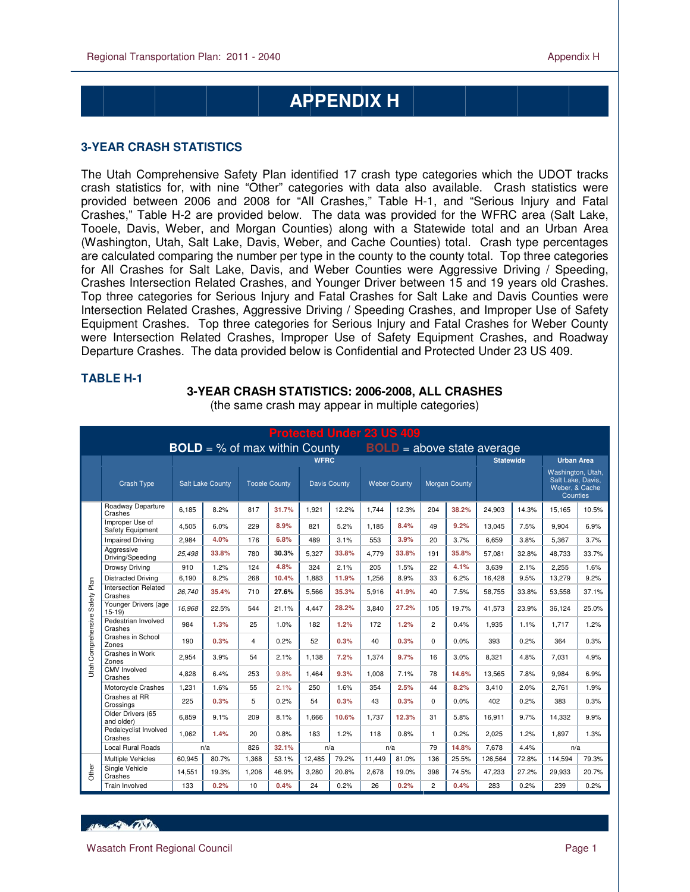## **APPENDIX H**

#### **3-YEAR CRASH STATISTICS**

 $\overline{a}$ 

The Utah Comprehensive Safety Plan identified 17 crash type categories which the UDOT tracks crash statistics for, with nine "Other" categories with data also available. Crash statistics were provided between 2006 and 2008 for "All Crashes," Table H-1, and "Serious Injury and Fatal Crashes," Table H-2 are provided below. The data was provided for the WFRC area (Salt Lake, Tooele, Davis, Weber, and Morgan Counties) along with a Statewide total and an Urban Area (Washington, Utah, Salt Lake, Davis, Weber, and Cache Counties) total. Crash type percentages are calculated comparing the number per type in the county to the county total. Top three categories for All Crashes for Salt Lake, Davis, and Weber Counties were Aggressive Driving / Speeding, Crashes Intersection Related Crashes, and Younger Driver between 15 and 19 years old Crashes. Top three categories for Serious Injury and Fatal Crashes for Salt Lake and Davis Counties were Intersection Related Crashes, Aggressive Driving / Speeding Crashes, and Improper Use of Safety Equipment Crashes. Top three categories for Serious Injury and Fatal Crashes for Weber County were Intersection Related Crashes, Improper Use of Safety Equipment Crashes, and Roadway Departure Crashes. The data provided below is Confidential and Protected Under 23 US 409.

| <b>TABLE H-1</b> |                              |
|------------------|------------------------------|
|                  | <b>3-YEAR CRASH STATISTI</b> |
|                  | (the same crash may a        |
|                  |                              |

# **CS: 2006-2008, ALL CRASHES**

| FIULCUCU UNUCI ZJ UJ 409                                             |                                     |        |                         |       |                      |        |                     |                     |       |                |                      |         |                   |                                                                      |       |
|----------------------------------------------------------------------|-------------------------------------|--------|-------------------------|-------|----------------------|--------|---------------------|---------------------|-------|----------------|----------------------|---------|-------------------|----------------------------------------------------------------------|-------|
| <b>BOLD</b> = % of max within County<br>$BOLD = above state average$ |                                     |        |                         |       |                      |        |                     |                     |       |                |                      |         |                   |                                                                      |       |
|                                                                      |                                     |        |                         |       | <b>WFRC</b>          |        |                     |                     |       |                | <b>Statewide</b>     |         | <b>Urban Area</b> |                                                                      |       |
|                                                                      | <b>Crash Type</b>                   |        | <b>Salt Lake County</b> |       | <b>Tooele County</b> |        | <b>Davis County</b> | <b>Weber County</b> |       |                | <b>Morgan County</b> |         |                   | Washington, Utah,<br>Salt Lake, Davis,<br>Weber, & Cache<br>Counties |       |
|                                                                      | Roadway Departure<br>Crashes        | 6.185  | 8.2%                    | 817   | 31.7%                | 1.921  | 12.2%               | 1.744               | 12.3% | 204            | 38.2%                | 24,903  | 14.3%             | 15,165                                                               | 10.5% |
|                                                                      | Improper Use of<br>Safety Equipment | 4.505  | 6.0%                    | 229   | 8.9%                 | 821    | 5.2%                | 1.185               | 8.4%  | 49             | 9.2%                 | 13,045  | 7.5%              | 9.904                                                                | 6.9%  |
|                                                                      | <b>Impaired Driving</b>             | 2,984  | 4.0%                    | 176   | 6.8%                 | 489    | 3.1%                | 553                 | 3.9%  | 20             | 3.7%                 | 6,659   | 3.8%              | 5,367                                                                | 3.7%  |
|                                                                      | Aggressive<br>Driving/Speeding      | 25.498 | 33.8%                   | 780   | 30.3%                | 5.327  | 33.8%               | 4.779               | 33.8% | 191            | 35.8%                | 57.081  | 32.8%             | 48.733                                                               | 33.7% |
|                                                                      | Drowsy Driving                      | 910    | 1.2%                    | 124   | 4.8%                 | 324    | 2.1%                | 205                 | 1.5%  | 22             | 4.1%                 | 3,639   | 2.1%              | 2,255                                                                | 1.6%  |
|                                                                      | <b>Distracted Driving</b>           | 6,190  | 8.2%                    | 268   | 10.4%                | 1,883  | 11.9%               | 1,256               | 8.9%  | 33             | 6.2%                 | 16,428  | 9.5%              | 13,279                                                               | 9.2%  |
|                                                                      | Intersection Related<br>Crashes     | 26,740 | 35.4%                   | 710   | 27.6%                | 5.566  | 35.3%               | 5.916               | 41.9% | 40             | 7.5%                 | 58.755  | 33.8%             | 53,558                                                               | 37.1% |
|                                                                      | Younger Drivers (age<br>$15-19$     | 16,968 | 22.5%                   | 544   | 21.1%                | 4,447  | 28.2%               | 3,840               | 27.2% | 105            | 19.7%                | 41,573  | 23.9%             | 36,124                                                               | 25.0% |
|                                                                      | Pedestrian Involved<br>Crashes      | 984    | 1.3%                    | 25    | 1.0%                 | 182    | 1.2%                | 172                 | 1.2%  | $\overline{c}$ | 0.4%                 | 1,935   | 1.1%              | 1,717                                                                | 1.2%  |
| Utah Comprehensive Safety Plan                                       | Crashes in School<br>Zones          | 190    | 0.3%                    | 4     | 0.2%                 | 52     | 0.3%                | 40                  | 0.3%  | $\Omega$       | 0.0%                 | 393     | 0.2%              | 364                                                                  | 0.3%  |
|                                                                      | Crashes in Work<br>Zones            | 2.954  | 3.9%                    | 54    | 2.1%                 | 1.138  | 7.2%                | 1.374               | 9.7%  | 16             | 3.0%                 | 8.321   | 4.8%              | 7.031                                                                | 4.9%  |
|                                                                      | <b>CMV</b> Involved<br>Crashes      | 4,828  | 6.4%                    | 253   | 9.8%                 | 1.464  | 9.3%                | 1.008               | 7.1%  | 78             | 14.6%                | 13,565  | 7.8%              | 9,984                                                                | 6.9%  |
|                                                                      | Motorcycle Crashes                  | 1.231  | 1.6%                    | 55    | 2.1%                 | 250    | 1.6%                | 354                 | 2.5%  | 44             | 8.2%                 | 3.410   | 2.0%              | 2.761                                                                | 1.9%  |
|                                                                      | Crashes at RR<br>Crossings          | 225    | 0.3%                    | 5     | 0.2%                 | 54     | 0.3%                | 43                  | 0.3%  | $\Omega$       | 0.0%                 | 402     | 0.2%              | 383                                                                  | 0.3%  |
|                                                                      | Older Drivers (65<br>and older)     | 6,859  | 9.1%                    | 209   | 8.1%                 | 1,666  | 10.6%               | 1,737               | 12.3% | 31             | 5.8%                 | 16,911  | 9.7%              | 14,332                                                               | 9.9%  |
|                                                                      | Pedalcyclist Involved<br>Crashes    | 1.062  | 1.4%                    | 20    | 0.8%                 | 183    | 1.2%                | 118                 | 0.8%  | $\mathbf{1}$   | 0.2%                 | 2.025   | 1.2%              | 1.897                                                                | 1.3%  |
|                                                                      | <b>Local Rural Roads</b>            |        | n/a                     | 826   | 32.1%                | n/a    |                     | 79<br>n/a           |       | 14.8%          | 7,678<br>4.4%        |         | n/a               |                                                                      |       |
|                                                                      | <b>Multiple Vehicles</b>            | 60.945 | 80.7%                   | 1,368 | 53.1%                | 12.485 | 79.2%               | 11.449              | 81.0% | 136            | 25.5%                | 126.564 | 72.8%             | 114.594                                                              | 79.3% |
| Other                                                                | Single Vehicle<br>Crashes           | 14,551 | 19.3%                   | 1.206 | 46.9%                | 3.280  | 20.8%               | 2.678               | 19.0% | 398            | 74.5%                | 47.233  | 27.2%             | 29.933                                                               | 20.7% |
|                                                                      | <b>Train Involved</b>               | 133    | 0.2%                    | 10    | 0.4%                 | 24     | 0.2%                | 26                  | 0.2%  | $\overline{2}$ | 0.4%                 | 283     | 0.2%              | 239                                                                  | 0.2%  |

(ppear in multiple categories)

**ABLACTION OF DE**